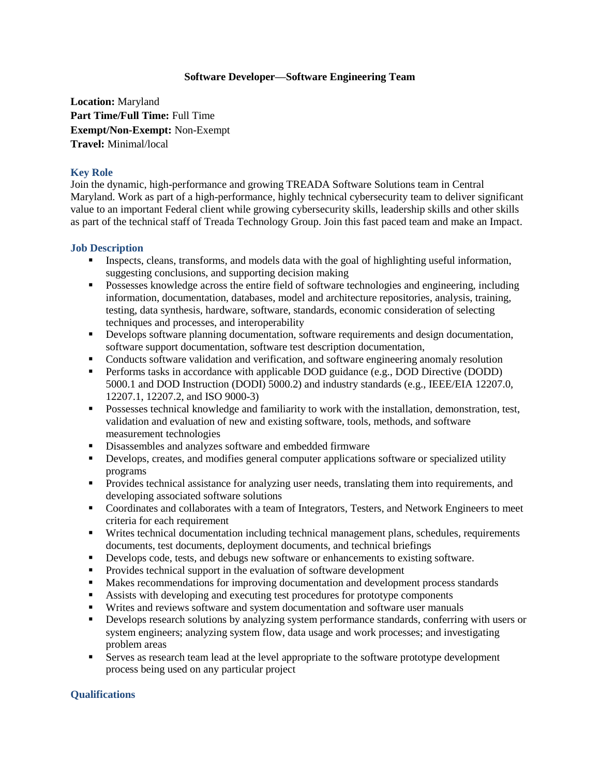## **Software Developer—Software Engineering Team**

**Location:** Maryland **Part Time/Full Time:** Full Time **Exempt/Non-Exempt:** Non-Exempt **Travel:** Minimal/local

## **Key Role**

Join the dynamic, high-performance and growing TREADA Software Solutions team in Central Maryland. Work as part of a high-performance, highly technical cybersecurity team to deliver significant value to an important Federal client while growing cybersecurity skills, leadership skills and other skills as part of the technical staff of Treada Technology Group. Join this fast paced team and make an Impact.

## **Job Description**

- Inspects, cleans, transforms, and models data with the goal of highlighting useful information, suggesting conclusions, and supporting decision making
- Possesses knowledge across the entire field of software technologies and engineering, including information, documentation, databases, model and architecture repositories, analysis, training, testing, data synthesis, hardware, software, standards, economic consideration of selecting techniques and processes, and interoperability
- Develops software planning documentation, software requirements and design documentation, software support documentation, software test description documentation,
- Conducts software validation and verification, and software engineering anomaly resolution
- **Performs tasks in accordance with applicable DOD guidance (e.g., DOD Directive (DODD)** 5000.1 and DOD Instruction (DODI) 5000.2) and industry standards (e.g., IEEE/EIA 12207.0, 12207.1, 12207.2, and ISO 9000-3)
- **Possesses technical knowledge and familiarity to work with the installation, demonstration, test,** validation and evaluation of new and existing software, tools, methods, and software measurement technologies
- Disassembles and analyzes software and embedded firmware
- Develops, creates, and modifies general computer applications software or specialized utility programs
- **Provides technical assistance for analyzing user needs, translating them into requirements, and** developing associated software solutions
- Coordinates and collaborates with a team of Integrators, Testers, and Network Engineers to meet criteria for each requirement
- Writes technical documentation including technical management plans, schedules, requirements documents, test documents, deployment documents, and technical briefings
- Develops code, tests, and debugs new software or enhancements to existing software.
- **Provides technical support in the evaluation of software development**
- **Makes recommendations for improving documentation and development process standards**
- Assists with developing and executing test procedures for prototype components
- Writes and reviews software and system documentation and software user manuals
- Develops research solutions by analyzing system performance standards, conferring with users or system engineers; analyzing system flow, data usage and work processes; and investigating problem areas
- **Serves as research team lead at the level appropriate to the software prototype development** process being used on any particular project

## **Qualifications**